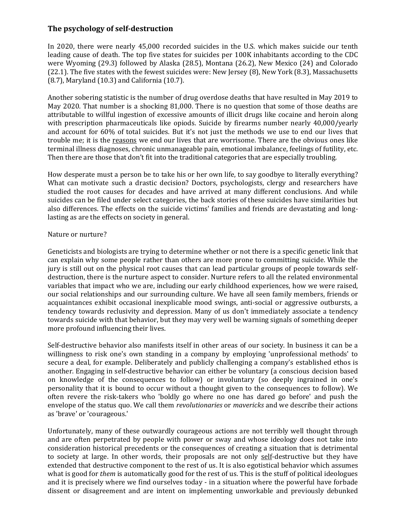## **The psychology of self-destruction**

In 2020, there were nearly 45,000 recorded suicides in the U.S. which makes suicide our tenth leading cause of death. The top five states for suicides per 100K inhabitants according to the CDC were Wyoming (29.3) followed by Alaska (28.5), Montana (26.2), New Mexico (24) and Colorado (22.1). The five states with the fewest suicides were: New Jersey (8), New York (8.3), Massachusetts (8.7), Maryland (10.3) and California (10.7).

Another sobering statistic is the number of drug overdose deaths that have resulted in May 2019 to May 2020. That number is a shocking 81,000. There is no question that some of those deaths are attributable to willful ingestion of excessive amounts of illicit drugs like cocaine and heroin along with prescription pharmaceuticals like opiods. Suicide by firearms number nearly 40,000/yearly and account for 60% of total suicides. But it's not just the methods we use to end our lives that trouble me; it is the reasons we end our lives that are worrisome. There are the obvious ones like terminal illness diagnoses, chronic unmanageable pain, emotional imbalance, feelings of futility, etc. Then there are those that don't fit into the traditional categories that are especially troubling.

How desperate must a person be to take his or her own life, to say goodbye to literally everything? What can motivate such a drastic decision? Doctors, psychologists, clergy and researchers have studied the root causes for decades and have arrived at many different conclusions. And while suicides can be filed under select categories, the back stories of these suicides have similarities but also differences. The effects on the suicide victims' families and friends are devastating and longlasting as are the effects on society in general.

## Nature or nurture?

Geneticists and biologists are trying to determine whether or not there is a specific genetic link that can explain why some people rather than others are more prone to committing suicide. While the jury is still out on the physical root causes that can lead particular groups of people towards selfdestruction, there is the nurture aspect to consider. Nurture refers to all the related environmental variables that impact who we are, including our early childhood experiences, how we were raised, our social relationships and our surrounding culture. We have all seen family members, friends or acquaintances exhibit occasional inexplicable mood swings, anti-social or aggressive outbursts, a tendency towards reclusivity and depression. Many of us don't immediately associate a tendency towards suicide with that behavior, but they may very well be warning signals of something deeper more profound influencing their lives.

Self-destructive behavior also manifests itself in other areas of our society. In business it can be a willingness to risk one's own standing in a company by employing 'unprofessional methods' to secure a deal, for example. Deliberately and publicly challenging a company's established ethos is another. Engaging in self-destructive behavior can either be voluntary (a conscious decision based on knowledge of the consequences to follow) or involuntary (so deeply ingrained in one's personality that it is bound to occur without a thought given to the consequences to follow). We often revere the risk-takers who 'boldly go where no one has dared go before' and push the envelope of the status quo. We call them *revolutionaries* or *mavericks* and we describe their actions as 'brave' or 'courageous.'

Unfortunately, many of these outwardly courageous actions are not terribly well thought through and are often perpetrated by people with power or sway and whose ideology does not take into consideration historical precedents or the consequences of creating a situation that is detrimental to society at large. In other words, their proposals are not only self-destructive but they have extended that destructive component to the rest of us. It is also egotistical behavior which assumes what is good for *them* is automatically good for the rest of us. This is the stuff of political ideologues and it is precisely where we find ourselves today - in a situation where the powerful have forbade dissent or disagreement and are intent on implementing unworkable and previously debunked